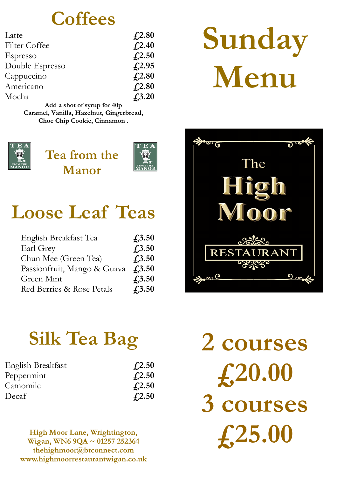## **Coffees**

| Latte           | $\textcolor{blue}{\textbf{\textsterling}}2.80$ |
|-----------------|------------------------------------------------|
| Filter Coffee   | $f_{2.40}$                                     |
| Espresso        | f(2.50)                                        |
| Double Espresso | $f_{1,2.95}$                                   |
| Cappuccino      | $f_{1,2.80}$                                   |
| Americano       | $f_{2.80}$                                     |
| Mocha           | $f_{1,3.20}$                                   |

**Add a shot of syrup for 40p Caramel, Vanilla, Hazelnut, Gingerbread, Choc Chip Cookie, Cinnamon .** 



**Tea from the Manor** 



# **Loose Leaf Teas**

| English Breakfast Tea       | $f_{1,3.50}$   |
|-----------------------------|----------------|
| Earl Grey                   | $f_{1,3.50}$   |
| Chun Mee (Green Tea)        | $f_{1,3.50}$   |
| Passionfruit, Mango & Guava | $f_{1,3.50}$   |
| Green Mint                  | $f_{1,3.50}$   |
| Red Berries & Rose Petals   | $\sqrt{.3.50}$ |

# **Silk Tea Bag**

| English Breakfast | $\textcolor{blue}{f2.50}$ |
|-------------------|---------------------------|
| Peppermint        | $\textcolor{blue}{f2.50}$ |
| Camomile          | $\textcolor{blue}{f2.50}$ |
| Decaf             | $\sqrt{4.2.50}$           |

**High Moor Lane, Wrightington, Wigan, WN6 9QA ~ 01257 252364 thehighmoor@btconnect.com www.highmoorrestaurantwigan.co.uk** 

# **Sunday Menu**



**2 courses £20.00 3 courses £25.00**